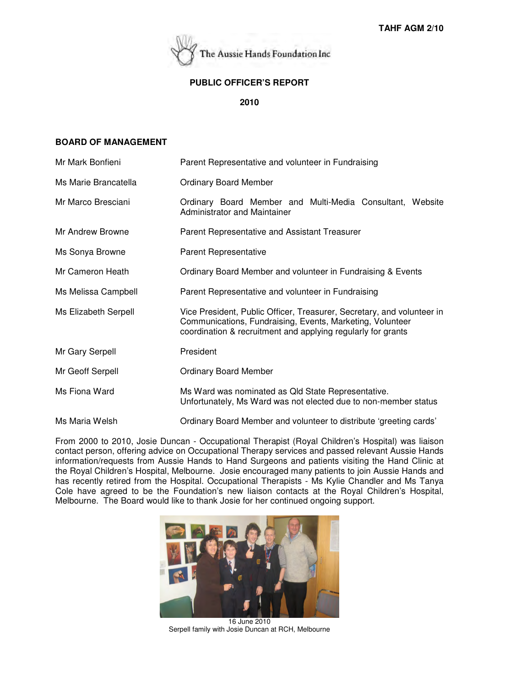

### **PUBLIC OFFICER'S REPORT**

**2010**

## **BOARD OF MANAGEMENT**

| Mr Mark Bonfieni     | Parent Representative and volunteer in Fundraising                                                                                                                                                  |  |  |
|----------------------|-----------------------------------------------------------------------------------------------------------------------------------------------------------------------------------------------------|--|--|
| Ms Marie Brancatella | <b>Ordinary Board Member</b>                                                                                                                                                                        |  |  |
| Mr Marco Bresciani   | Ordinary Board Member and Multi-Media Consultant, Website<br>Administrator and Maintainer                                                                                                           |  |  |
| Mr Andrew Browne     | Parent Representative and Assistant Treasurer                                                                                                                                                       |  |  |
| Ms Sonya Browne      | Parent Representative                                                                                                                                                                               |  |  |
| Mr Cameron Heath     | Ordinary Board Member and volunteer in Fundraising & Events                                                                                                                                         |  |  |
| Ms Melissa Campbell  | Parent Representative and volunteer in Fundraising                                                                                                                                                  |  |  |
| Ms Elizabeth Serpell | Vice President, Public Officer, Treasurer, Secretary, and volunteer in<br>Communications, Fundraising, Events, Marketing, Volunteer<br>coordination & recruitment and applying regularly for grants |  |  |
| Mr Gary Serpell      | President                                                                                                                                                                                           |  |  |
| Mr Geoff Serpell     | <b>Ordinary Board Member</b>                                                                                                                                                                        |  |  |
| Ms Fiona Ward        | Ms Ward was nominated as Qld State Representative.<br>Unfortunately, Ms Ward was not elected due to non-member status                                                                               |  |  |
| Ms Maria Welsh       | Ordinary Board Member and volunteer to distribute 'greeting cards'                                                                                                                                  |  |  |
|                      |                                                                                                                                                                                                     |  |  |

From 2000 to 2010, Josie Duncan - Occupational Therapist (Royal Children's Hospital) was liaison contact person, offering advice on Occupational Therapy services and passed relevant Aussie Hands information/requests from Aussie Hands to Hand Surgeons and patients visiting the Hand Clinic at the Royal Children's Hospital, Melbourne. Josie encouraged many patients to join Aussie Hands and has recently retired from the Hospital. Occupational Therapists - Ms Kylie Chandler and Ms Tanya Cole have agreed to be the Foundation's new liaison contacts at the Royal Children's Hospital, Melbourne. The Board would like to thank Josie for her continued ongoing support.



16 June 2010 Serpell family with Josie Duncan at RCH, Melbourne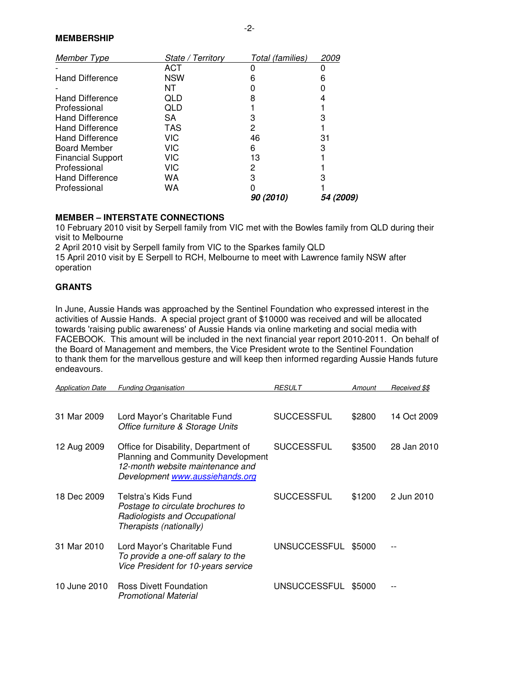## **MEMBERSHIP**

| Member Type              | State / Territory | Total (families)        | <i>2009</i>             |
|--------------------------|-------------------|-------------------------|-------------------------|
|                          | ACT               |                         |                         |
| <b>Hand Difference</b>   | <b>NSW</b>        | 6                       | 6                       |
|                          | NT                |                         |                         |
| <b>Hand Difference</b>   | QLD               | 8                       |                         |
| Professional             | QLD               |                         |                         |
| <b>Hand Difference</b>   | SA                |                         |                         |
| <b>Hand Difference</b>   | <b>TAS</b>        | 2                       |                         |
| <b>Hand Difference</b>   | <b>VIC</b>        | 46                      | 31                      |
| <b>Board Member</b>      | VIC               | 6                       | 3                       |
| <b>Financial Support</b> | VIC               | 13                      |                         |
| Professional             | VIC               | 2                       |                         |
| <b>Hand Difference</b>   | WA                | 3                       |                         |
| Professional             | WA                |                         |                         |
|                          |                   | <i><b>90 (2010)</b></i> | <i><b>54 (2009)</b></i> |

#### **MEMBER – INTERSTATE CONNECTIONS**

10 February 2010 visit by Serpell family from VIC met with the Bowles family from QLD during their visit to Melbourne

2 April 2010 visit by Serpell family from VIC to the Sparkes family QLD 15 April 2010 visit by E Serpell to RCH, Melbourne to meet with Lawrence family NSW after operation

## **GRANTS**

In June, Aussie Hands was approached by the Sentinel Foundation who expressed interest in the activities of Aussie Hands. A special project grant of \$10000 was received and will be allocated towards 'raising public awareness' of Aussie Hands via online marketing and social media with FACEBOOK. This amount will be included in the next financial year report 2010-2011. On behalf of the Board of Management and members, the Vice President wrote to the Sentinel Foundation to thank them for the marvellous gesture and will keep then informed regarding Aussie Hands future endeavours.

| <b>Application Date</b> | <b>Funding Organisation</b>                                                                                                                              | <b>RESULT</b>     | Amount | Received \$\$ |
|-------------------------|----------------------------------------------------------------------------------------------------------------------------------------------------------|-------------------|--------|---------------|
|                         |                                                                                                                                                          |                   |        |               |
| 31 Mar 2009             | Lord Mayor's Charitable Fund<br>Office furniture & Storage Units                                                                                         | <b>SUCCESSFUL</b> | \$2800 | 14 Oct 2009   |
| 12 Aug 2009             | Office for Disability, Department of<br><b>Planning and Community Development</b><br>12-month website maintenance and<br>Development www.aussiehands.org | <b>SUCCESSFUL</b> | \$3500 | 28 Jan 2010   |
| 18 Dec 2009             | Telstra's Kids Fund<br>Postage to circulate brochures to<br>Radiologists and Occupational<br>Therapists (nationally)                                     | <b>SUCCESSFUL</b> | \$1200 | 2 Jun 2010    |
| 31 Mar 2010             | Lord Mayor's Charitable Fund<br>To provide a one-off salary to the<br>Vice President for 10-years service                                                | UNSUCCESSFUL      | \$5000 |               |
| 10 June 2010            | <b>Ross Divett Foundation</b><br><b>Promotional Material</b>                                                                                             | UNSUCCESSFUL      | \$5000 |               |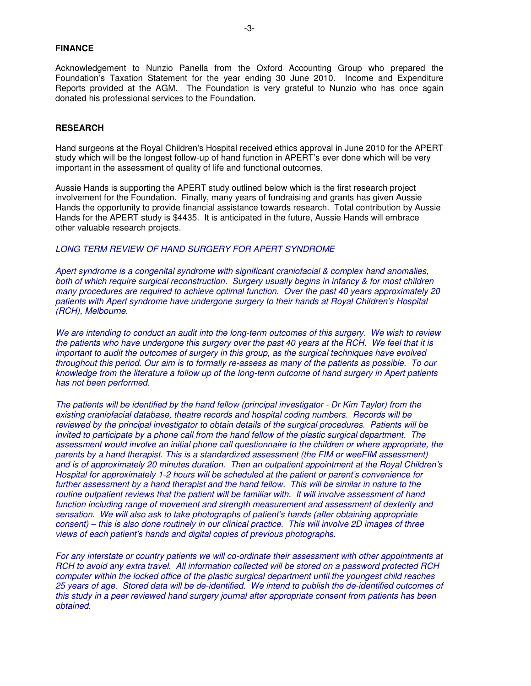#### **FINANCE**

Acknowledgement to Nunzio Panella from the Oxford Accounting Group who prepared the Foundation's Taxation Statement for the year ending 30 June 2010. Income and Expenditure Reports provided at the AGM. The Foundation is very grateful to Nunzio who has once again donated his professional services to the Foundation.

#### **RESEARCH**

Hand surgeons at the Royal Children's Hospital received ethics approval in June 2010 for the APERT study which will be the longest follow-up of hand function in APERT's ever done which will be very important in the assessment of quality of life and functional outcomes.

Aussie Hands is supporting the APERT study outlined below which is the first research project involvement for the Foundation. Finally, many years of fundraising and grants has given Aussie Hands the opportunity to provide financial assistance towards research. Total contribution by Aussie Hands for the APERT study is \$4435. It is anticipated in the future, Aussie Hands will embrace other valuable research projects.

#### LONG TERM REVIEW OF HAND SURGERY FOR APERT SYNDROME

Apert syndrome is a congenital syndrome with significant craniofacial & complex hand anomalies, both of which require surgical reconstruction. Surgery usually begins in infancy & for most children many procedures are required to achieve optimal function. Over the past 40 years approximately 20 patients with Apert syndrome have undergone surgery to their hands at Royal Children's Hospital (RCH), Melbourne.

We are intending to conduct an audit into the long-term outcomes of this surgery. We wish to review the patients who have undergone this surgery over the past 40 years at the RCH. We feel that it is important to audit the outcomes of surgery in this group, as the surgical techniques have evolved throughout this period. Our aim is to formally re-assess as many of the patients as possible. To our knowledge from the literature a follow up of the long-term outcome of hand surgery in Apert patients has not been performed.

The patients will be identified by the hand fellow (principal investigator - Dr Kim Taylor) from the existing craniofacial database, theatre records and hospital coding numbers. Records will be reviewed by the principal investigator to obtain details of the surgical procedures. Patients will be invited to participate by a phone call from the hand fellow of the plastic surgical department. The assessment would involve an initial phone call questionnaire to the children or where appropriate, the parents by a hand therapist. This is a standardized assessment (the FIM or weeFIM assessment) and is of approximately 20 minutes duration. Then an outpatient appointment at the Royal Children's Hospital for approximately 1-2 hours will be scheduled at the patient or parent's convenience for further assessment by a hand therapist and the hand fellow. This will be similar in nature to the routine outpatient reviews that the patient will be familiar with. It will involve assessment of hand function including range of movement and strength measurement and assessment of dexterity and sensation. We will also ask to take photographs of patient's hands (after obtaining appropriate consent) – this is also done routinely in our clinical practice. This will involve 2D images of three views of each patient's hands and digital copies of previous photographs.

For any interstate or country patients we will co-ordinate their assessment with other appointments at RCH to avoid any extra travel. All information collected will be stored on a password protected RCH computer within the locked office of the plastic surgical department until the youngest child reaches 25 years of age. Stored data will be de-identified. We intend to publish the de-identified outcomes of this study in a peer reviewed hand surgery journal after appropriate consent from patients has been obtained.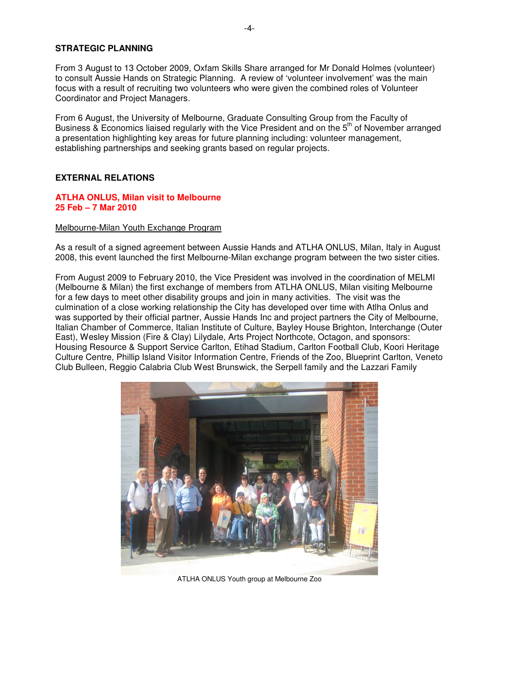### **STRATEGIC PLANNING**

From 3 August to 13 October 2009, Oxfam Skills Share arranged for Mr Donald Holmes (volunteer) to consult Aussie Hands on Strategic Planning. A review of 'volunteer involvement' was the main focus with a result of recruiting two volunteers who were given the combined roles of Volunteer Coordinator and Project Managers.

From 6 August, the University of Melbourne, Graduate Consulting Group from the Faculty of Business & Economics liaised regularly with the Vice President and on the 5<sup>th</sup> of November arranged a presentation highlighting key areas for future planning including: volunteer management, establishing partnerships and seeking grants based on regular projects.

## **EXTERNAL RELATIONS**

#### **ATLHA ONLUS, Milan visit to Melbourne 25 Feb – 7 Mar 2010**

#### Melbourne-Milan Youth Exchange Program

As a result of a signed agreement between Aussie Hands and ATLHA ONLUS, Milan, Italy in August 2008, this event launched the first Melbourne-Milan exchange program between the two sister cities.

From August 2009 to February 2010, the Vice President was involved in the coordination of MELMI (Melbourne & Milan) the first exchange of members from ATLHA ONLUS, Milan visiting Melbourne for a few days to meet other disability groups and join in many activities. The visit was the culmination of a close working relationship the City has developed over time with Atlha Onlus and was supported by their official partner, Aussie Hands Inc and project partners the City of Melbourne, Italian Chamber of Commerce, Italian Institute of Culture, Bayley House Brighton, Interchange (Outer East), Wesley Mission (Fire & Clay) Lilydale, Arts Project Northcote, Octagon, and sponsors: Housing Resource & Support Service Carlton, Etihad Stadium, Carlton Football Club, Koori Heritage Culture Centre, Phillip Island Visitor Information Centre, Friends of the Zoo, Blueprint Carlton, Veneto Club Bulleen, Reggio Calabria Club West Brunswick, the Serpell family and the Lazzari Family



ATLHA ONLUS Youth group at Melbourne Zoo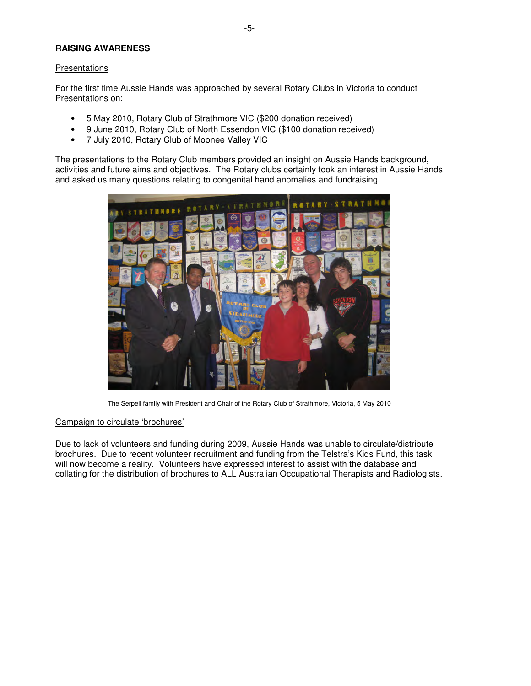### **RAISING AWARENESS**

#### Presentations

For the first time Aussie Hands was approached by several Rotary Clubs in Victoria to conduct Presentations on:

- 5 May 2010, Rotary Club of Strathmore VIC (\$200 donation received)
- 9 June 2010, Rotary Club of North Essendon VIC (\$100 donation received)
- 7 July 2010, Rotary Club of Moonee Valley VIC

The presentations to the Rotary Club members provided an insight on Aussie Hands background, activities and future aims and objectives. The Rotary clubs certainly took an interest in Aussie Hands and asked us many questions relating to congenital hand anomalies and fundraising.



The Serpell family with President and Chair of the Rotary Club of Strathmore, Victoria, 5 May 2010

#### Campaign to circulate 'brochures'

Due to lack of volunteers and funding during 2009, Aussie Hands was unable to circulate/distribute brochures. Due to recent volunteer recruitment and funding from the Telstra's Kids Fund, this task will now become a reality. Volunteers have expressed interest to assist with the database and collating for the distribution of brochures to ALL Australian Occupational Therapists and Radiologists.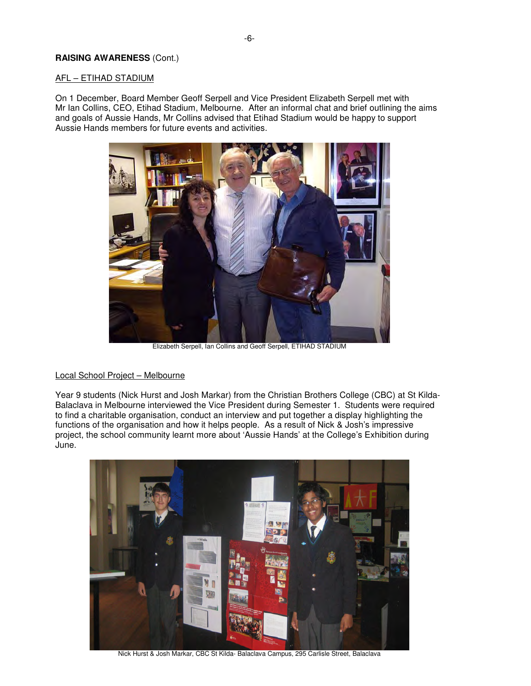### **RAISING AWARENESS** (Cont.)

### AFL – ETIHAD STADIUM

On 1 December, Board Member Geoff Serpell and Vice President Elizabeth Serpell met with Mr Ian Collins, CEO, Etihad Stadium, Melbourne. After an informal chat and brief outlining the aims and goals of Aussie Hands, Mr Collins advised that Etihad Stadium would be happy to support Aussie Hands members for future events and activities.



Elizabeth Serpell, Ian Collins and Geoff Serpell, ETIHAD STADIUM

#### Local School Project – Melbourne

Year 9 students (Nick Hurst and Josh Markar) from the Christian Brothers College (CBC) at St Kilda-Balaclava in Melbourne interviewed the Vice President during Semester 1. Students were required to find a charitable organisation, conduct an interview and put together a display highlighting the functions of the organisation and how it helps people. As a result of Nick & Josh's impressive project, the school community learnt more about 'Aussie Hands' at the College's Exhibition during June.



Nick Hurst & Josh Markar, CBC St Kilda- Balaclava Campus, 295 Carlisle Street, Balaclava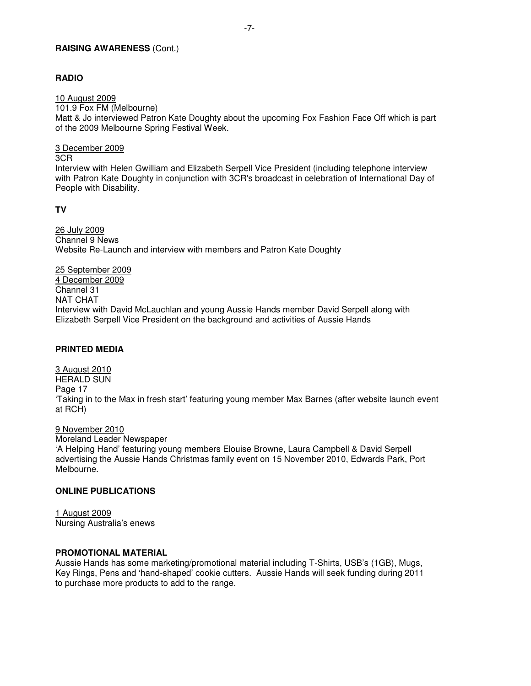#### **RAISING AWARENESS** (Cont.)

### **RADIO**

10 August 2009 101.9 Fox FM (Melbourne)

Matt & Jo interviewed Patron Kate Doughty about the upcoming Fox Fashion Face Off which is part of the 2009 Melbourne Spring Festival Week.

3 December 2009

3CR

Interview with Helen Gwilliam and Elizabeth Serpell Vice President (including telephone interview with Patron Kate Doughty in conjunction with 3CR's broadcast in celebration of International Day of People with Disability.

**TV** 

26 July 2009 Channel 9 News Website Re-Launch and interview with members and Patron Kate Doughty

25 September 2009 4 December 2009 Channel 31 NAT CHAT Interview with David McLauchlan and young Aussie Hands member David Serpell along with Elizabeth Serpell Vice President on the background and activities of Aussie Hands

## **PRINTED MEDIA**

3 August 2010 HERALD SUN Page 17 'Taking in to the Max in fresh start' featuring young member Max Barnes (after website launch event at RCH)

9 November 2010 Moreland Leader Newspaper 'A Helping Hand' featuring young members Elouise Browne, Laura Campbell & David Serpell advertising the Aussie Hands Christmas family event on 15 November 2010, Edwards Park, Port Melbourne.

### **ONLINE PUBLICATIONS**

1 August 2009 Nursing Australia's enews

# **PROMOTIONAL MATERIAL**

Aussie Hands has some marketing/promotional material including T-Shirts, USB's (1GB), Mugs, Key Rings, Pens and 'hand-shaped' cookie cutters. Aussie Hands will seek funding during 2011 to purchase more products to add to the range.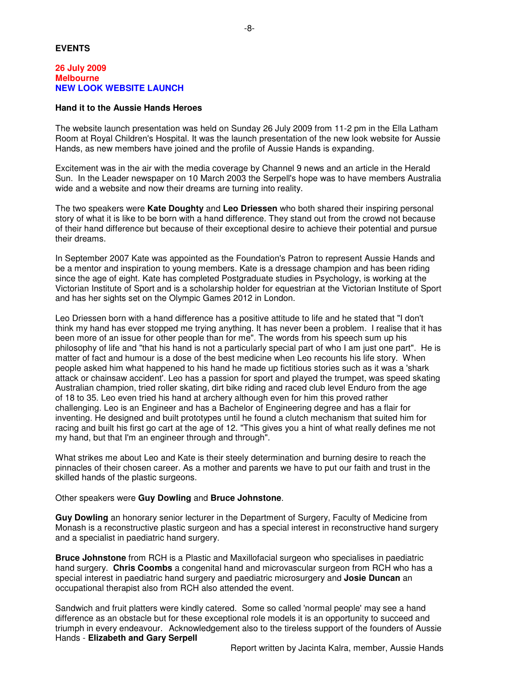### **EVENTS**

### **26 July 2009 Melbourne NEW LOOK WEBSITE LAUNCH**

#### **Hand it to the Aussie Hands Heroes**

The website launch presentation was held on Sunday 26 July 2009 from 11-2 pm in the Ella Latham Room at Royal Children's Hospital. It was the launch presentation of the new look website for Aussie Hands, as new members have joined and the profile of Aussie Hands is expanding.

-8-

Excitement was in the air with the media coverage by Channel 9 news and an article in the Herald Sun. In the Leader newspaper on 10 March 2003 the Serpell's hope was to have members Australia wide and a website and now their dreams are turning into reality.

The two speakers were **Kate Doughty** and **Leo Driessen** who both shared their inspiring personal story of what it is like to be born with a hand difference. They stand out from the crowd not because of their hand difference but because of their exceptional desire to achieve their potential and pursue their dreams.

In September 2007 Kate was appointed as the Foundation's Patron to represent Aussie Hands and be a mentor and inspiration to young members. Kate is a dressage champion and has been riding since the age of eight. Kate has completed Postgraduate studies in Psychology, is working at the Victorian Institute of Sport and is a scholarship holder for equestrian at the Victorian Institute of Sport and has her sights set on the Olympic Games 2012 in London.

Leo Driessen born with a hand difference has a positive attitude to life and he stated that "I don't think my hand has ever stopped me trying anything. It has never been a problem. I realise that it has been more of an issue for other people than for me". The words from his speech sum up his philosophy of life and "that his hand is not a particularly special part of who I am just one part". He is matter of fact and humour is a dose of the best medicine when Leo recounts his life story. When people asked him what happened to his hand he made up fictitious stories such as it was a 'shark attack or chainsaw accident'. Leo has a passion for sport and played the trumpet, was speed skating Australian champion, tried roller skating, dirt bike riding and raced club level Enduro from the age of 18 to 35. Leo even tried his hand at archery although even for him this proved rather challenging. Leo is an Engineer and has a Bachelor of Engineering degree and has a flair for inventing. He designed and built prototypes until he found a clutch mechanism that suited him for racing and built his first go cart at the age of 12. "This gives you a hint of what really defines me not my hand, but that I'm an engineer through and through".

What strikes me about Leo and Kate is their steely determination and burning desire to reach the pinnacles of their chosen career. As a mother and parents we have to put our faith and trust in the skilled hands of the plastic surgeons.

#### Other speakers were **Guy Dowling** and **Bruce Johnstone**.

**Guy Dowling** an honorary senior lecturer in the Department of Surgery, Faculty of Medicine from Monash is a reconstructive plastic surgeon and has a special interest in reconstructive hand surgery and a specialist in paediatric hand surgery.

**Bruce Johnstone** from RCH is a Plastic and Maxillofacial surgeon who specialises in paediatric hand surgery. **Chris Coombs** a congenital hand and microvascular surgeon from RCH who has a special interest in paediatric hand surgery and paediatric microsurgery and **Josie Duncan** an occupational therapist also from RCH also attended the event.

Sandwich and fruit platters were kindly catered. Some so called 'normal people' may see a hand difference as an obstacle but for these exceptional role models it is an opportunity to succeed and triumph in every endeavour. Acknowledgement also to the tireless support of the founders of Aussie Hands - **Elizabeth and Gary Serpell**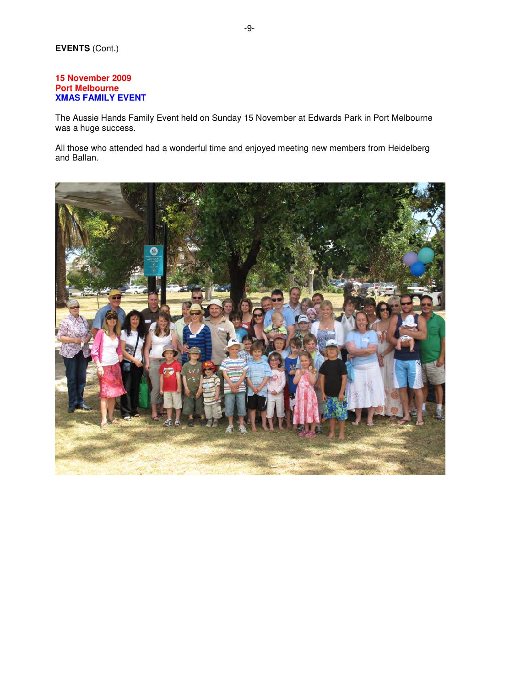## **15 November 2009 Port Melbourne XMAS FAMILY EVENT**

The Aussie Hands Family Event held on Sunday 15 November at Edwards Park in Port Melbourne was a huge success.

All those who attended had a wonderful time and enjoyed meeting new members from Heidelberg and Ballan.

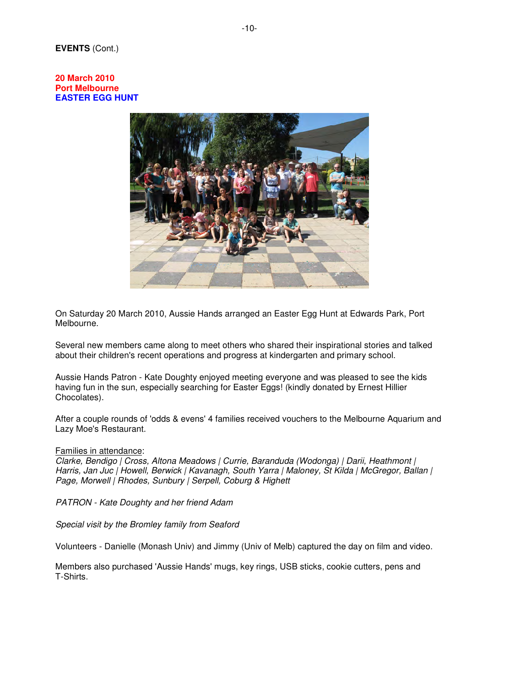#### **20 March 2010 Port Melbourne EASTER EGG HUNT**



On Saturday 20 March 2010, Aussie Hands arranged an Easter Egg Hunt at Edwards Park, Port Melbourne.

Several new members came along to meet others who shared their inspirational stories and talked about their children's recent operations and progress at kindergarten and primary school.

Aussie Hands Patron - Kate Doughty enjoyed meeting everyone and was pleased to see the kids having fun in the sun, especially searching for Easter Eggs! (kindly donated by Ernest Hillier Chocolates).

After a couple rounds of 'odds & evens' 4 families received vouchers to the Melbourne Aquarium and Lazy Moe's Restaurant.

#### Families in attendance:

Clarke, Bendigo | Cross, Altona Meadows | Currie, Baranduda (Wodonga) | Darii, Heathmont | Harris, Jan Juc | Howell, Berwick | Kavanagh, South Yarra | Maloney, St Kilda | McGregor, Ballan | Page, Morwell | Rhodes, Sunbury | Serpell, Coburg & Highett

PATRON - Kate Doughty and her friend Adam

Special visit by the Bromley family from Seaford

Volunteers - Danielle (Monash Univ) and Jimmy (Univ of Melb) captured the day on film and video.

Members also purchased 'Aussie Hands' mugs, key rings, USB sticks, cookie cutters, pens and T-Shirts.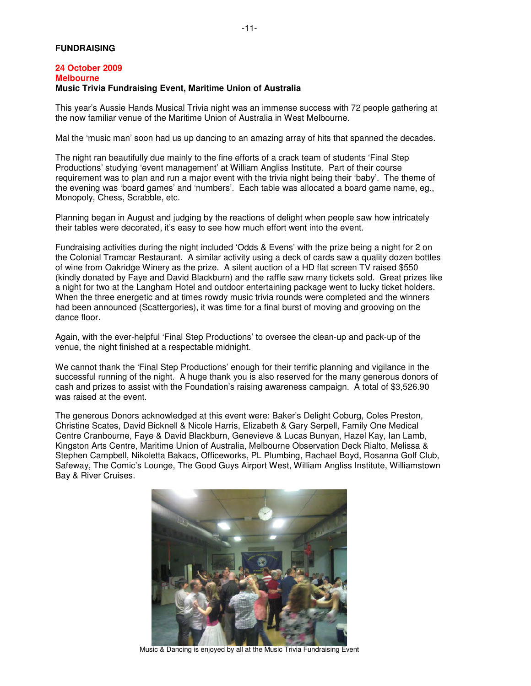#### **FUNDRAISING**

#### **24 October 2009 Melbourne Music Trivia Fundraising Event, Maritime Union of Australia**

This year's Aussie Hands Musical Trivia night was an immense success with 72 people gathering at the now familiar venue of the Maritime Union of Australia in West Melbourne.

Mal the 'music man' soon had us up dancing to an amazing array of hits that spanned the decades.

The night ran beautifully due mainly to the fine efforts of a crack team of students 'Final Step Productions' studying 'event management' at William Angliss Institute. Part of their course requirement was to plan and run a major event with the trivia night being their 'baby'. The theme of the evening was 'board games' and 'numbers'. Each table was allocated a board game name, eg., Monopoly, Chess, Scrabble, etc.

Planning began in August and judging by the reactions of delight when people saw how intricately their tables were decorated, it's easy to see how much effort went into the event.

Fundraising activities during the night included 'Odds & Evens' with the prize being a night for 2 on the Colonial Tramcar Restaurant. A similar activity using a deck of cards saw a quality dozen bottles of wine from Oakridge Winery as the prize. A silent auction of a HD flat screen TV raised \$550 (kindly donated by Faye and David Blackburn) and the raffle saw many tickets sold. Great prizes like a night for two at the Langham Hotel and outdoor entertaining package went to lucky ticket holders. When the three energetic and at times rowdy music trivia rounds were completed and the winners had been announced (Scattergories), it was time for a final burst of moving and grooving on the dance floor.

Again, with the ever-helpful 'Final Step Productions' to oversee the clean-up and pack-up of the venue, the night finished at a respectable midnight.

We cannot thank the 'Final Step Productions' enough for their terrific planning and vigilance in the successful running of the night. A huge thank you is also reserved for the many generous donors of cash and prizes to assist with the Foundation's raising awareness campaign. A total of \$3,526.90 was raised at the event.

The generous Donors acknowledged at this event were: Baker's Delight Coburg, Coles Preston, Christine Scates, David Bicknell & Nicole Harris, Elizabeth & Gary Serpell, Family One Medical Centre Cranbourne, Faye & David Blackburn, Genevieve & Lucas Bunyan, Hazel Kay, Ian Lamb, Kingston Arts Centre, Maritime Union of Australia, Melbourne Observation Deck Rialto, Melissa & Stephen Campbell, Nikoletta Bakacs, Officeworks, PL Plumbing, Rachael Boyd, Rosanna Golf Club, Safeway, The Comic's Lounge, The Good Guys Airport West, William Angliss Institute, Williamstown Bay & River Cruises.



Music & Dancing is enjoyed by all at the Music Trivia Fundraising Event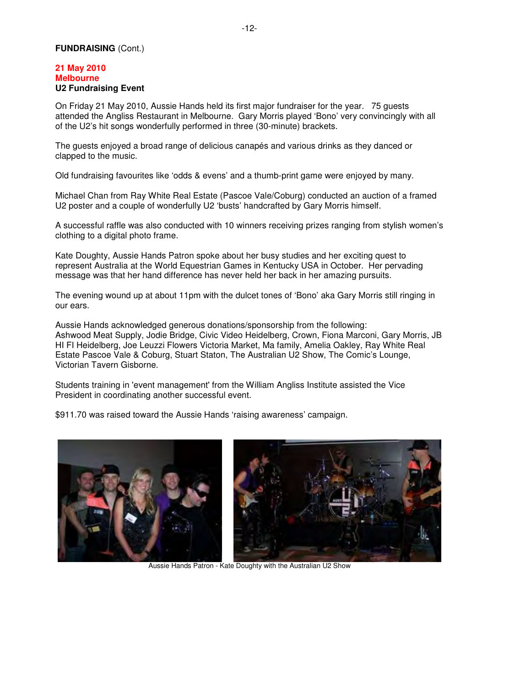## **FUNDRAISING** (Cont.)

#### **21 May 2010 Melbourne U2 Fundraising Event**

On Friday 21 May 2010, Aussie Hands held its first major fundraiser for the year. 75 guests attended the Angliss Restaurant in Melbourne. Gary Morris played 'Bono' very convincingly with all of the U2's hit songs wonderfully performed in three (30-minute) brackets.

The guests enjoyed a broad range of delicious canapés and various drinks as they danced or clapped to the music.

Old fundraising favourites like 'odds & evens' and a thumb-print game were enjoyed by many.

Michael Chan from Ray White Real Estate (Pascoe Vale/Coburg) conducted an auction of a framed U2 poster and a couple of wonderfully U2 'busts' handcrafted by Gary Morris himself.

A successful raffle was also conducted with 10 winners receiving prizes ranging from stylish women's clothing to a digital photo frame.

Kate Doughty, Aussie Hands Patron spoke about her busy studies and her exciting quest to represent Australia at the World Equestrian Games in Kentucky USA in October. Her pervading message was that her hand difference has never held her back in her amazing pursuits.

The evening wound up at about 11pm with the dulcet tones of 'Bono' aka Gary Morris still ringing in our ears.

Aussie Hands acknowledged generous donations/sponsorship from the following: Ashwood Meat Supply, Jodie Bridge, Civic Video Heidelberg, Crown, Fiona Marconi, Gary Morris, JB HI FI Heidelberg, Joe Leuzzi Flowers Victoria Market, Ma family, Amelia Oakley, Ray White Real Estate Pascoe Vale & Coburg, Stuart Staton, The Australian U2 Show, The Comic's Lounge, Victorian Tavern Gisborne.

Students training in 'event management' from the William Angliss Institute assisted the Vice President in coordinating another successful event.

\$911.70 was raised toward the Aussie Hands 'raising awareness' campaign.



Aussie Hands Patron - Kate Doughty with the Australian U2 Show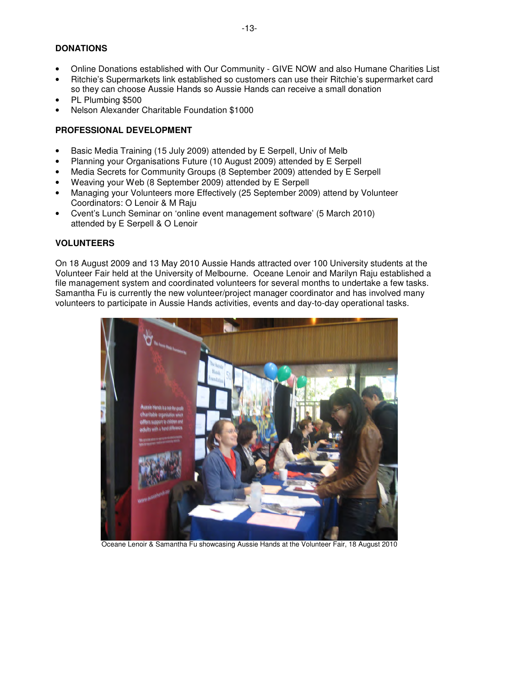# **DONATIONS**

- Online Donations established with Our Community GIVE NOW and also Humane Charities List
- Ritchie's Supermarkets link established so customers can use their Ritchie's supermarket card so they can choose Aussie Hands so Aussie Hands can receive a small donation
- PL Plumbing \$500
- Nelson Alexander Charitable Foundation \$1000

## **PROFESSIONAL DEVELOPMENT**

- Basic Media Training (15 July 2009) attended by E Serpell, Univ of Melb
- Planning your Organisations Future (10 August 2009) attended by E Serpell
- Media Secrets for Community Groups (8 September 2009) attended by E Serpell
- Weaving your Web (8 September 2009) attended by E Serpell
- Managing your Volunteers more Effectively (25 September 2009) attend by Volunteer Coordinators: O Lenoir & M Raju
- Cvent's Lunch Seminar on 'online event management software' (5 March 2010) attended by E Serpell & O Lenoir

# **VOLUNTEERS**

On 18 August 2009 and 13 May 2010 Aussie Hands attracted over 100 University students at the Volunteer Fair held at the University of Melbourne. Oceane Lenoir and Marilyn Raju established a file management system and coordinated volunteers for several months to undertake a few tasks. Samantha Fu is currently the new volunteer/project manager coordinator and has involved many volunteers to participate in Aussie Hands activities, events and day-to-day operational tasks.



Oceane Lenoir & Samantha Fu showcasing Aussie Hands at the Volunteer Fair, 18 August 2010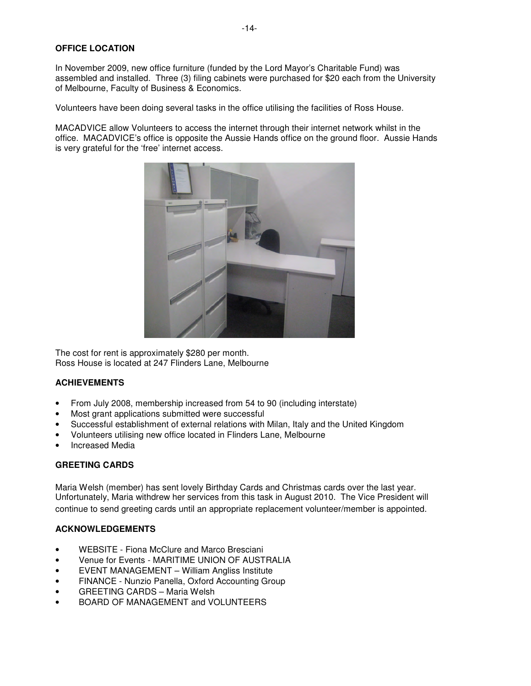# **OFFICE LOCATION**

In November 2009, new office furniture (funded by the Lord Mayor's Charitable Fund) was assembled and installed. Three (3) filing cabinets were purchased for \$20 each from the University of Melbourne, Faculty of Business & Economics.

Volunteers have been doing several tasks in the office utilising the facilities of Ross House.

MACADVICE allow Volunteers to access the internet through their internet network whilst in the office. MACADVICE's office is opposite the Aussie Hands office on the ground floor. Aussie Hands is very grateful for the 'free' internet access.



The cost for rent is approximately \$280 per month. Ross House is located at 247 Flinders Lane, Melbourne

# **ACHIEVEMENTS**

- From July 2008, membership increased from 54 to 90 (including interstate)
- Most grant applications submitted were successful
- Successful establishment of external relations with Milan, Italy and the United Kingdom
- Volunteers utilising new office located in Flinders Lane, Melbourne
- Increased Media

#### **GREETING CARDS**

Maria Welsh (member) has sent lovely Birthday Cards and Christmas cards over the last year. Unfortunately, Maria withdrew her services from this task in August 2010. The Vice President will continue to send greeting cards until an appropriate replacement volunteer/member is appointed.

#### **ACKNOWLEDGEMENTS**

- WEBSITE Fiona McClure and Marco Bresciani
- Venue for Events MARITIME UNION OF AUSTRALIA
- EVENT MANAGEMENT William Angliss Institute
- FINANCE Nunzio Panella, Oxford Accounting Group
- GREETING CARDS Maria Welsh
- BOARD OF MANAGEMENT and VOLUNTEERS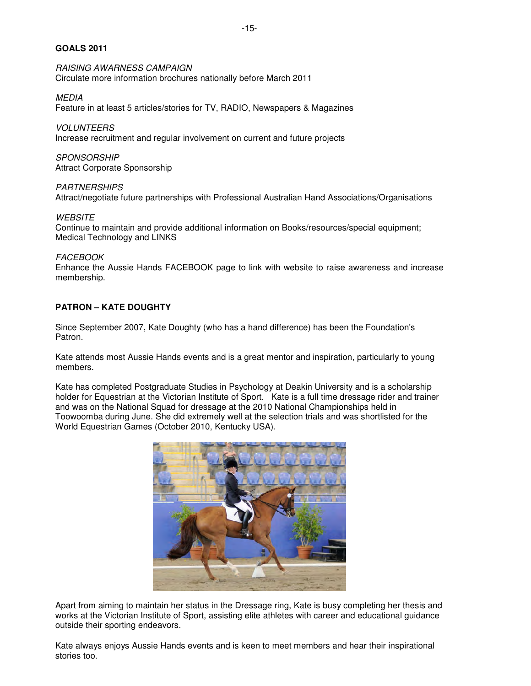### **GOALS 2011**

RAISING AWARNESS CAMPAIGN Circulate more information brochures nationally before March 2011

MEDIA Feature in at least 5 articles/stories for TV, RADIO, Newspapers & Magazines

VOLUNTEERS Increase recruitment and regular involvement on current and future projects

**SPONSORSHIP** Attract Corporate Sponsorship

**PARTNERSHIPS** Attract/negotiate future partnerships with Professional Australian Hand Associations/Organisations

**WEBSITE** Continue to maintain and provide additional information on Books/resources/special equipment; Medical Technology and LINKS

FACEBOOK

Enhance the Aussie Hands FACEBOOK page to link with website to raise awareness and increase membership.

# **PATRON – KATE DOUGHTY**

Since September 2007, Kate Doughty (who has a hand difference) has been the Foundation's Patron.

Kate attends most Aussie Hands events and is a great mentor and inspiration, particularly to young members.

Kate has completed Postgraduate Studies in Psychology at Deakin University and is a scholarship holder for Equestrian at the Victorian Institute of Sport. Kate is a full time dressage rider and trainer and was on the National Squad for dressage at the 2010 National Championships held in Toowoomba during June. She did extremely well at the selection trials and was shortlisted for the World Equestrian Games (October 2010, Kentucky USA).



Apart from aiming to maintain her status in the Dressage ring, Kate is busy completing her thesis and works at the Victorian Institute of Sport, assisting elite athletes with career and educational guidance outside their sporting endeavors.

Kate always enjoys Aussie Hands events and is keen to meet members and hear their inspirational stories too.